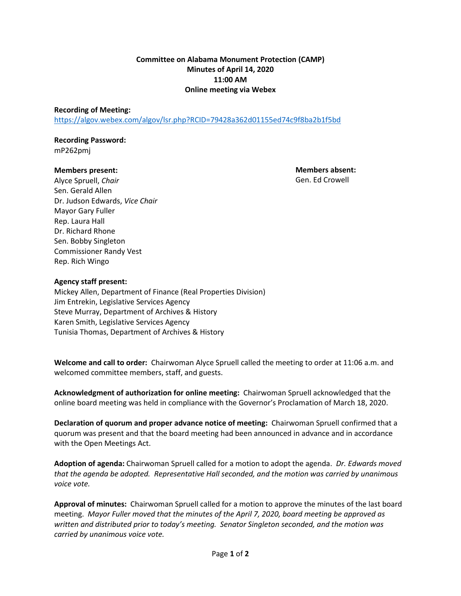# **Committee on Alabama Monument Protection (CAMP) Minutes of April 14, 2020 11:00 AM Online meeting via Webex**

## **Recording of Meeting:**

<https://algov.webex.com/algov/lsr.php?RCID=79428a362d01155ed74c9f8ba2b1f5bd>

## **Recording Password:** mP262pmj

## **Members present:**

**Members absent:** Gen. Ed Crowell

Alyce Spruell, *Chair* Sen. Gerald Allen Dr. Judson Edwards, *Vice Chair* Mayor Gary Fuller Rep. Laura Hall Dr. Richard Rhone Sen. Bobby Singleton Commissioner Randy Vest Rep. Rich Wingo

# **Agency staff present:**

Mickey Allen, Department of Finance (Real Properties Division) Jim Entrekin, Legislative Services Agency Steve Murray, Department of Archives & History Karen Smith, Legislative Services Agency Tunisia Thomas, Department of Archives & History

**Welcome and call to order:** Chairwoman Alyce Spruell called the meeting to order at 11:06 a.m. and welcomed committee members, staff, and guests.

**Acknowledgment of authorization for online meeting:** Chairwoman Spruell acknowledged that the online board meeting was held in compliance with the Governor's Proclamation of March 18, 2020.

**Declaration of quorum and proper advance notice of meeting:** Chairwoman Spruell confirmed that a quorum was present and that the board meeting had been announced in advance and in accordance with the Open Meetings Act.

**Adoption of agenda:** Chairwoman Spruell called for a motion to adopt the agenda. *Dr. Edwards moved that the agenda be adopted. Representative Hall seconded, and the motion was carried by unanimous voice vote.*

**Approval of minutes:** Chairwoman Spruell called for a motion to approve the minutes of the last board meeting. *Mayor Fuller moved that the minutes of the April 7, 2020, board meeting be approved as written and distributed prior to today's meeting. Senator Singleton seconded, and the motion was carried by unanimous voice vote.*